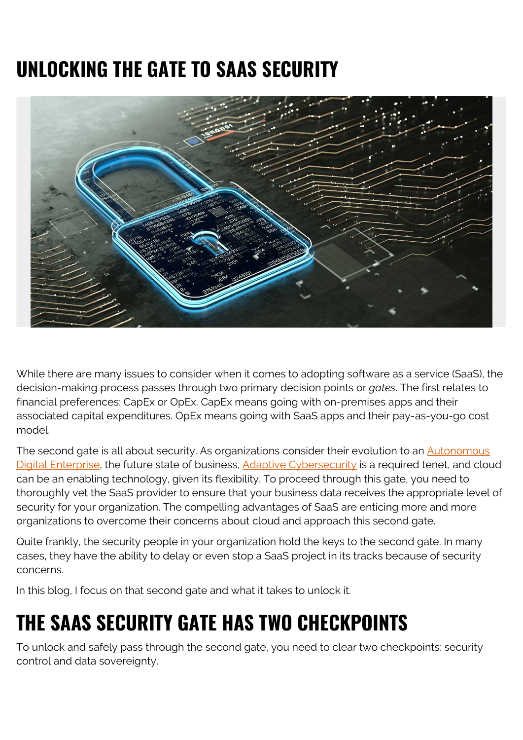## **UNLOCKING THE GATE TO SAAS SECURITY**



While there are many issues to consider when it comes to adopting software as a service (SaaS), the decision-making process passes through two primary decision points or *gates*. The first relates to financial preferences: CapEx or OpEx. CapEx means going with on-premises apps and their associated capital expenditures. OpEx means going with SaaS apps and their pay-as-you-go cost model.

The second gate is all about security. As organizations consider their evolution to an **Autonomous** [Digital Enterprise,](https://blogs.bmc.com/corporate/autonomous-digital-enterprise.html) the future state of business, [Adaptive Cybersecurity](https://blogs.bmc.com/it-solutions/it-security.html) is a required tenet, and cloud can be an enabling technology, given its flexibility. To proceed through this gate, you need to thoroughly vet the SaaS provider to ensure that your business data receives the appropriate level of security for your organization. The compelling advantages of SaaS are enticing more and more organizations to overcome their concerns about cloud and approach this second gate.

Quite frankly, the security people in your organization hold the keys to the second gate. In many cases, they have the ability to delay or even stop a SaaS project in its tracks because of security concerns.

In this blog, I focus on that second gate and what it takes to unlock it.

## **THE SAAS SECURITY GATE HAS TWO CHECKPOINTS**

To unlock and safely pass through the second gate, you need to clear two checkpoints: security control and data sovereignty.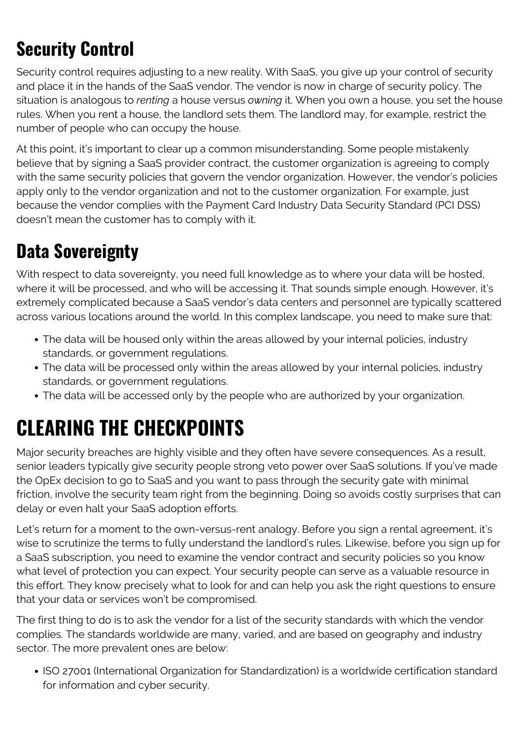#### **Security Control**

Security control requires adjusting to a new reality. With SaaS, you give up your control of security and place it in the hands of the SaaS vendor. The vendor is now in charge of security policy. The situation is analogous to *renting* a house versus *owning* it. When you own a house, you set the house rules. When you rent a house, the landlord sets them. The landlord may, for example, restrict the number of people who can occupy the house.

At this point, it's important to clear up a common misunderstanding. Some people mistakenly believe that by signing a SaaS provider contract, the customer organization is agreeing to comply with the same security policies that govern the vendor organization. However, the vendor's policies apply only to the vendor organization and not to the customer organization. For example, just because the vendor complies with the Payment Card Industry Data Security Standard (PCI DSS) doesn't mean the customer has to comply with it.

#### **Data Sovereignty**

With respect to data sovereignty, you need full knowledge as to where your data will be hosted, where it will be processed, and who will be accessing it. That sounds simple enough. However, it's extremely complicated because a SaaS vendor's data centers and personnel are typically scattered across various locations around the world. In this complex landscape, you need to make sure that:

- The data will be housed only within the areas allowed by your internal policies, industry standards, or government regulations.
- The data will be processed only within the areas allowed by your internal policies, industry standards, or government regulations.
- The data will be accessed only by the people who are authorized by your organization.

# **CLEARING THE CHECKPOINTS**

Major security breaches are highly visible and they often have severe consequences. As a result, senior leaders typically give security people strong veto power over SaaS solutions. If you've made the OpEx decision to go to SaaS and you want to pass through the security gate with minimal friction, involve the security team right from the beginning. Doing so avoids costly surprises that can delay or even halt your SaaS adoption efforts.

Let's return for a moment to the own-versus-rent analogy. Before you sign a rental agreement, it's wise to scrutinize the terms to fully understand the landlord's rules. Likewise, before you sign up for a SaaS subscription, you need to examine the vendor contract and security policies so you know what level of protection you can expect. Your security people can serve as a valuable resource in this effort. They know precisely what to look for and can help you ask the right questions to ensure that your data or services won't be compromised.

The first thing to do is to ask the vendor for a list of the security standards with which the vendor complies. The standards worldwide are many, varied, and are based on geography and industry sector. The more prevalent ones are below:

• ISO 27001 (International Organization for Standardization) is a worldwide certification standard for information and cyber security.